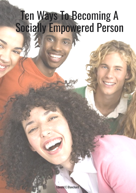# Ten Ways To Becoming A Socially Empowered Person

Edward C Blanchard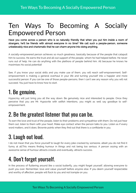# Ten Ways To Becoming A Socially Empowered Person

Have you come across a person who is so naturally friendly that when you put him inside a room of strangers, he'll be friends with almost everyone in no time? We call such a people-person, someone unbelievably nice and charismatic that he can charm anyone into doing anything.

A socially-empowered person achieves so much greatness, basically because of the people that catapult him to success. He earns the trust and all-out support of the people, whom he had helped before. He never runs out of help. He can do anything with the plethora of people behind him. All because he knows he maximises his social potential!

See, if you know your social skills and you make use of them, you will reach self-empowerment. Selfempowerment is making a general overhaul in your life and turning yourself into a happier and more successful person. If you can be one of those people-persons, then I can't see any reason why you will not succeed. You just have to know how to start.

#### 1. Be genuine.

Hypocrisy will just bring you all the way down. Be genuinely nice and interested to people. Once they perceive that you are Mr. Hypocrite with selfish intentions, you might as well say goodbye to selfempowerment.

#### 2. Be the greatest listener that you can be.

To earn the love and trust of the people, listen to their problems and sympathise with them. Do not just hear them out, listen to them with your heart. Make eye contact when the person talks to you. Listen as if every word matters, and it does. Brownie points when they find out that there is a confidante in you.

# 3. Laugh out loud.

I do not mean that you force yourself to laugh for every joke cracked by someone, albeit you do not find it funny at all.This means finding humour in things and not being too serious. A person oozing with an awesome sense of humour attracts crowds and eventually, attracts success.

## 4. Don't forget yourself.

In the process of fluttering around like a social butterfly, you might forget yourself, allowing everyone to push you over. Remember, love and value yourself before anyone else. If you deem yourself respectable and worthy of affection, people will flock to you and not trample on you.